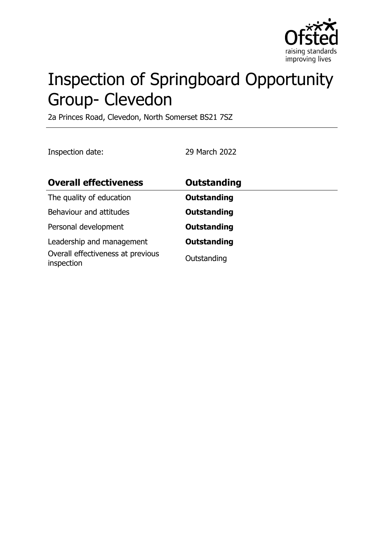

# Inspection of Springboard Opportunity Group- Clevedon

2a Princes Road, Clevedon, North Somerset BS21 7SZ

Inspection date: 29 March 2022

| <b>Overall effectiveness</b>                                                 | <b>Outstanding</b>                |
|------------------------------------------------------------------------------|-----------------------------------|
| The quality of education                                                     | <b>Outstanding</b>                |
| Behaviour and attitudes                                                      | <b>Outstanding</b>                |
| Personal development                                                         | <b>Outstanding</b>                |
| Leadership and management<br>Overall effectiveness at previous<br>inspection | <b>Outstanding</b><br>Outstanding |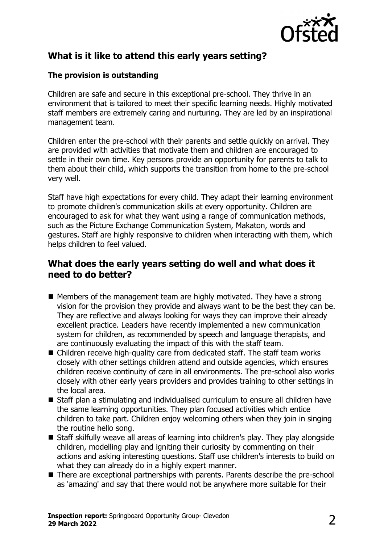

# **What is it like to attend this early years setting?**

#### **The provision is outstanding**

Children are safe and secure in this exceptional pre-school. They thrive in an environment that is tailored to meet their specific learning needs. Highly motivated staff members are extremely caring and nurturing. They are led by an inspirational management team.

Children enter the pre-school with their parents and settle quickly on arrival. They are provided with activities that motivate them and children are encouraged to settle in their own time. Key persons provide an opportunity for parents to talk to them about their child, which supports the transition from home to the pre-school very well.

Staff have high expectations for every child. They adapt their learning environment to promote children's communication skills at every opportunity. Children are encouraged to ask for what they want using a range of communication methods, such as the Picture Exchange Communication System, Makaton, words and gestures. Staff are highly responsive to children when interacting with them, which helps children to feel valued.

## **What does the early years setting do well and what does it need to do better?**

- $\blacksquare$  Members of the management team are highly motivated. They have a strong vision for the provision they provide and always want to be the best they can be. They are reflective and always looking for ways they can improve their already excellent practice. Leaders have recently implemented a new communication system for children, as recommended by speech and language therapists, and are continuously evaluating the impact of this with the staff team.
- $\blacksquare$  Children receive high-quality care from dedicated staff. The staff team works closely with other settings children attend and outside agencies, which ensures children receive continuity of care in all environments. The pre-school also works closely with other early years providers and provides training to other settings in the local area.
- $\blacksquare$  Staff plan a stimulating and individualised curriculum to ensure all children have the same learning opportunities. They plan focused activities which entice children to take part. Children enjoy welcoming others when they join in singing the routine hello song.
- Staff skilfully weave all areas of learning into children's play. They play alongside children, modelling play and igniting their curiosity by commenting on their actions and asking interesting questions. Staff use children's interests to build on what they can already do in a highly expert manner.
- There are exceptional partnerships with parents. Parents describe the pre-school as 'amazing' and say that there would not be anywhere more suitable for their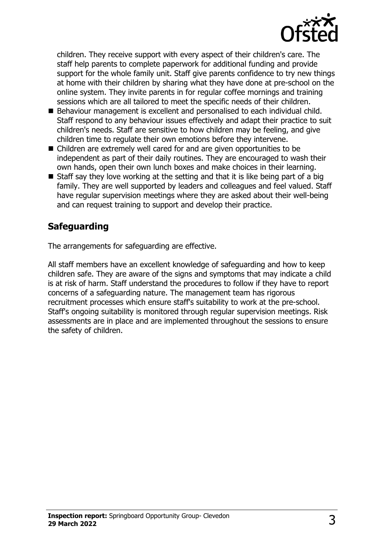

children. They receive support with every aspect of their children's care. The staff help parents to complete paperwork for additional funding and provide support for the whole family unit. Staff give parents confidence to try new things at home with their children by sharing what they have done at pre-school on the online system. They invite parents in for regular coffee mornings and training sessions which are all tailored to meet the specific needs of their children.

- $\blacksquare$  Behaviour management is excellent and personalised to each individual child. Staff respond to any behaviour issues effectively and adapt their practice to suit children's needs. Staff are sensitive to how children may be feeling, and give children time to regulate their own emotions before they intervene.
- Children are extremely well cared for and are given opportunities to be independent as part of their daily routines. They are encouraged to wash their own hands, open their own lunch boxes and make choices in their learning.
- $\blacksquare$  Staff say they love working at the setting and that it is like being part of a big family. They are well supported by leaders and colleagues and feel valued. Staff have regular supervision meetings where they are asked about their well-being and can request training to support and develop their practice.

# **Safeguarding**

The arrangements for safeguarding are effective.

All staff members have an excellent knowledge of safeguarding and how to keep children safe. They are aware of the signs and symptoms that may indicate a child is at risk of harm. Staff understand the procedures to follow if they have to report concerns of a safeguarding nature. The management team has rigorous recruitment processes which ensure staff's suitability to work at the pre-school. Staff's ongoing suitability is monitored through regular supervision meetings. Risk assessments are in place and are implemented throughout the sessions to ensure the safety of children.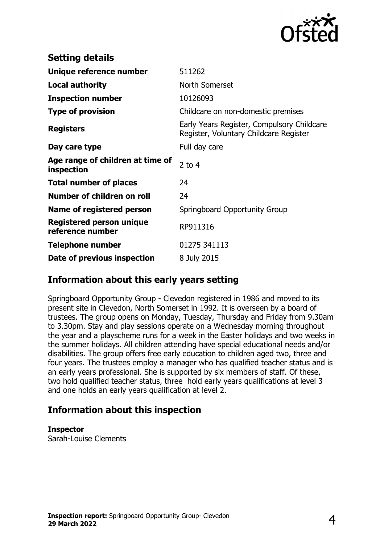

| <b>Setting details</b>                              |                                                                                      |
|-----------------------------------------------------|--------------------------------------------------------------------------------------|
| Unique reference number                             | 511262                                                                               |
| Local authority                                     | North Somerset                                                                       |
| <b>Inspection number</b>                            | 10126093                                                                             |
| <b>Type of provision</b>                            | Childcare on non-domestic premises                                                   |
| <b>Registers</b>                                    | Early Years Register, Compulsory Childcare<br>Register, Voluntary Childcare Register |
| Day care type                                       | Full day care                                                                        |
| Age range of children at time of<br>inspection      | 2 to $4$                                                                             |
| <b>Total number of places</b>                       | 24                                                                                   |
| Number of children on roll                          | 24                                                                                   |
| Name of registered person                           | Springboard Opportunity Group                                                        |
| <b>Registered person unique</b><br>reference number | RP911316                                                                             |
| <b>Telephone number</b>                             | 01275 341113                                                                         |
| Date of previous inspection                         | 8 July 2015                                                                          |

#### **Information about this early years setting**

Springboard Opportunity Group - Clevedon registered in 1986 and moved to its present site in Clevedon, North Somerset in 1992. It is overseen by a board of trustees. The group opens on Monday, Tuesday, Thursday and Friday from 9.30am to 3.30pm. Stay and play sessions operate on a Wednesday morning throughout the year and a playscheme runs for a week in the Easter holidays and two weeks in the summer holidays. All children attending have special educational needs and/or disabilities. The group offers free early education to children aged two, three and four years. The trustees employ a manager who has qualified teacher status and is an early years professional. She is supported by six members of staff. Of these, two hold qualified teacher status, three hold early years qualifications at level 3 and one holds an early years qualification at level 2.

## **Information about this inspection**

#### **Inspector**

Sarah-Louise Clements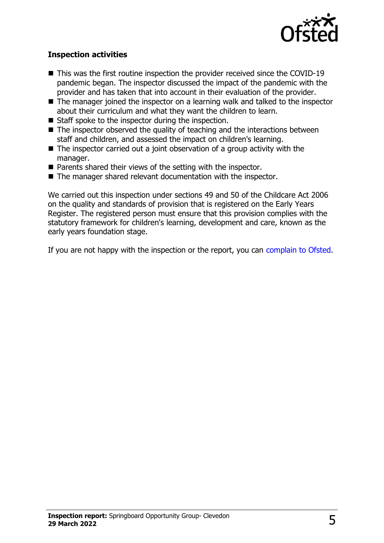

#### **Inspection activities**

- $\blacksquare$  This was the first routine inspection the provider received since the COVID-19 pandemic began. The inspector discussed the impact of the pandemic with the provider and has taken that into account in their evaluation of the provider.
- $\blacksquare$  The manager joined the inspector on a learning walk and talked to the inspector about their curriculum and what they want the children to learn.
- $\blacksquare$  Staff spoke to the inspector during the inspection.
- $\blacksquare$  The inspector observed the quality of teaching and the interactions between staff and children, and assessed the impact on children's learning.
- $\blacksquare$  The inspector carried out a joint observation of a group activity with the manager.
- $\blacksquare$  Parents shared their views of the setting with the inspector.
- $\blacksquare$  The manager shared relevant documentation with the inspector.

We carried out this inspection under sections 49 and 50 of the Childcare Act 2006 on the quality and standards of provision that is registered on the Early Years Register. The registered person must ensure that this provision complies with the statutory framework for children's learning, development and care, known as the early years foundation stage.

If you are not happy with the inspection or the report, you can [complain to Ofsted](http://www.gov.uk/complain-ofsted-report).